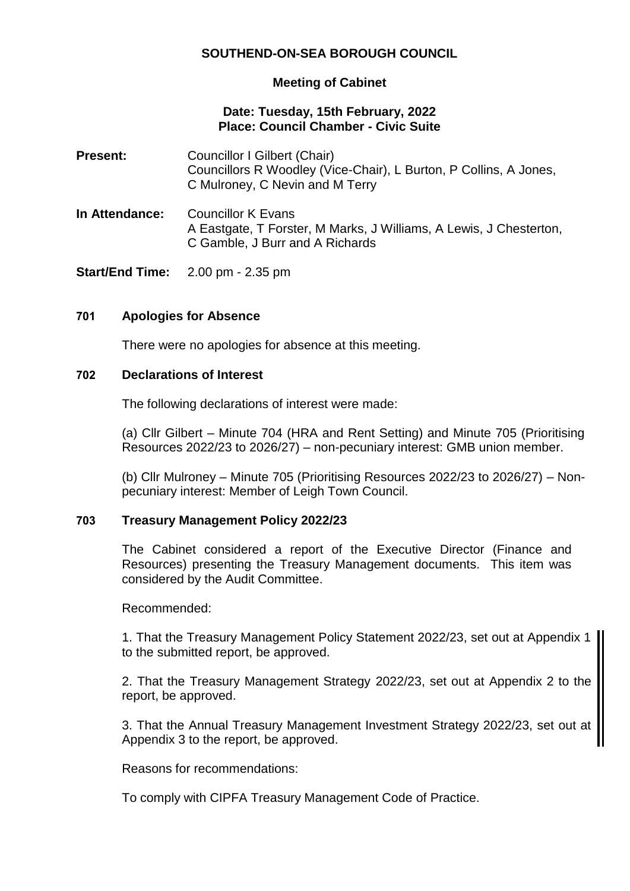# **SOUTHEND-ON-SEA BOROUGH COUNCIL**

# **Meeting of Cabinet**

## **Date: Tuesday, 15th February, 2022 Place: Council Chamber - Civic Suite**

**Present:** Councillor I Gilbert (Chair) Councillors R Woodley (Vice-Chair), L Burton, P Collins, A Jones, C Mulroney, C Nevin and M Terry **In Attendance:** Councillor K Evans A Eastgate, T Forster, M Marks, J Williams, A Lewis, J Chesterton, C Gamble, J Burr and A Richards

**Start/End Time:** 2.00 pm - 2.35 pm

## **701 Apologies for Absence**

There were no apologies for absence at this meeting.

## **702 Declarations of Interest**

The following declarations of interest were made:

(a) Cllr Gilbert – Minute 704 (HRA and Rent Setting) and Minute 705 (Prioritising Resources 2022/23 to 2026/27) – non-pecuniary interest: GMB union member.

(b) Cllr Mulroney – Minute 705 (Prioritising Resources 2022/23 to 2026/27) – Nonpecuniary interest: Member of Leigh Town Council.

#### **703 Treasury Management Policy 2022/23**

The Cabinet considered a report of the Executive Director (Finance and Resources) presenting the Treasury Management documents. This item was considered by the Audit Committee.

Recommended:

1. That the Treasury Management Policy Statement 2022/23, set out at Appendix 1 to the submitted report, be approved.

2. That the Treasury Management Strategy 2022/23, set out at Appendix 2 to the report, be approved.

3. That the Annual Treasury Management Investment Strategy 2022/23, set out at Appendix 3 to the report, be approved.

Reasons for recommendations:

To comply with CIPFA Treasury Management Code of Practice.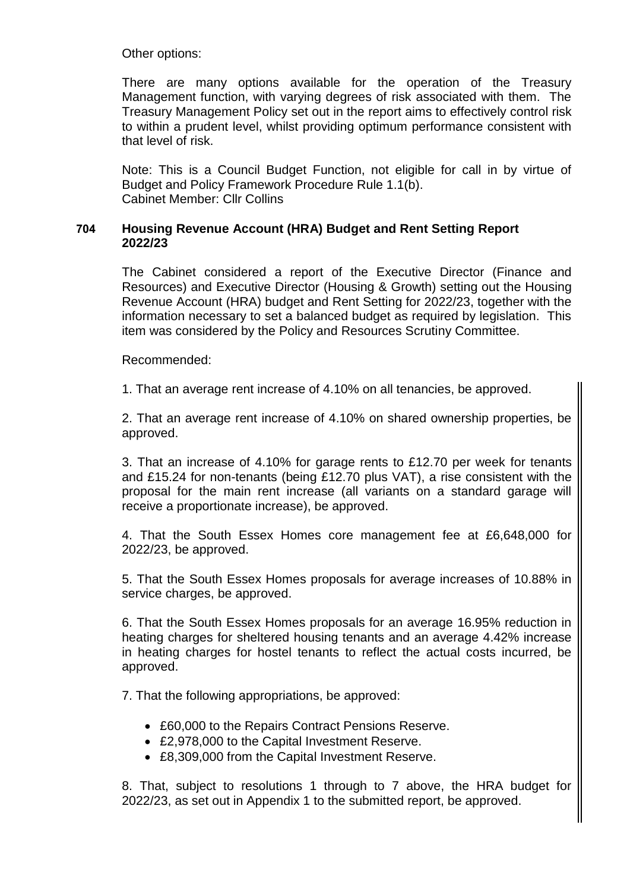Other options:

There are many options available for the operation of the Treasury Management function, with varying degrees of risk associated with them. The Treasury Management Policy set out in the report aims to effectively control risk to within a prudent level, whilst providing optimum performance consistent with that level of risk.

Note: This is a Council Budget Function, not eligible for call in by virtue of Budget and Policy Framework Procedure Rule 1.1(b). Cabinet Member: Cllr Collins

# **704 Housing Revenue Account (HRA) Budget and Rent Setting Report 2022/23**

The Cabinet considered a report of the Executive Director (Finance and Resources) and Executive Director (Housing & Growth) setting out the Housing Revenue Account (HRA) budget and Rent Setting for 2022/23, together with the information necessary to set a balanced budget as required by legislation. This item was considered by the Policy and Resources Scrutiny Committee.

Recommended:

1. That an average rent increase of 4.10% on all tenancies, be approved.

2. That an average rent increase of 4.10% on shared ownership properties, be approved.

3. That an increase of 4.10% for garage rents to £12.70 per week for tenants and £15.24 for non-tenants (being £12.70 plus VAT), a rise consistent with the proposal for the main rent increase (all variants on a standard garage will receive a proportionate increase), be approved.

4. That the South Essex Homes core management fee at £6,648,000 for 2022/23, be approved.

5. That the South Essex Homes proposals for average increases of 10.88% in service charges, be approved.

6. That the South Essex Homes proposals for an average 16.95% reduction in heating charges for sheltered housing tenants and an average 4.42% increase in heating charges for hostel tenants to reflect the actual costs incurred, be approved.

7. That the following appropriations, be approved:

- £60,000 to the Repairs Contract Pensions Reserve.
- £2,978,000 to the Capital Investment Reserve.
- £8,309,000 from the Capital Investment Reserve.

8. That, subject to resolutions 1 through to 7 above, the HRA budget for 2022/23, as set out in Appendix 1 to the submitted report, be approved.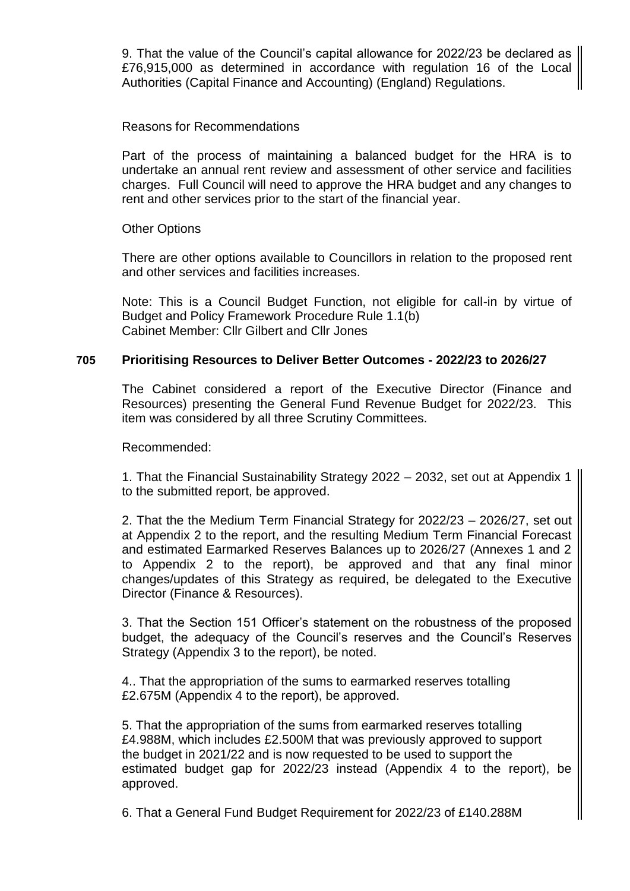9. That the value of the Council's capital allowance for 2022/23 be declared as £76,915,000 as determined in accordance with regulation 16 of the Local Authorities (Capital Finance and Accounting) (England) Regulations.

#### Reasons for Recommendations

Part of the process of maintaining a balanced budget for the HRA is to undertake an annual rent review and assessment of other service and facilities charges. Full Council will need to approve the HRA budget and any changes to rent and other services prior to the start of the financial year.

## Other Options

There are other options available to Councillors in relation to the proposed rent and other services and facilities increases.

Note: This is a Council Budget Function, not eligible for call-in by virtue of Budget and Policy Framework Procedure Rule 1.1(b) Cabinet Member: Cllr Gilbert and Cllr Jones

# **705 Prioritising Resources to Deliver Better Outcomes - 2022/23 to 2026/27**

The Cabinet considered a report of the Executive Director (Finance and Resources) presenting the General Fund Revenue Budget for 2022/23. This item was considered by all three Scrutiny Committees.

#### Recommended:

1. That the Financial Sustainability Strategy 2022 – 2032, set out at Appendix 1 to the submitted report, be approved.

2. That the the Medium Term Financial Strategy for 2022/23 – 2026/27, set out at Appendix 2 to the report, and the resulting Medium Term Financial Forecast and estimated Earmarked Reserves Balances up to 2026/27 (Annexes 1 and 2 to Appendix 2 to the report), be approved and that any final minor changes/updates of this Strategy as required, be delegated to the Executive Director (Finance & Resources).

3. That the Section 151 Officer's statement on the robustness of the proposed budget, the adequacy of the Council's reserves and the Council's Reserves Strategy (Appendix 3 to the report), be noted.

4.. That the appropriation of the sums to earmarked reserves totalling £2.675M (Appendix 4 to the report), be approved.

5. That the appropriation of the sums from earmarked reserves totalling £4.988M, which includes £2.500M that was previously approved to support the budget in 2021/22 and is now requested to be used to support the estimated budget gap for 2022/23 instead (Appendix 4 to the report), be approved.

6. That a General Fund Budget Requirement for 2022/23 of £140.288M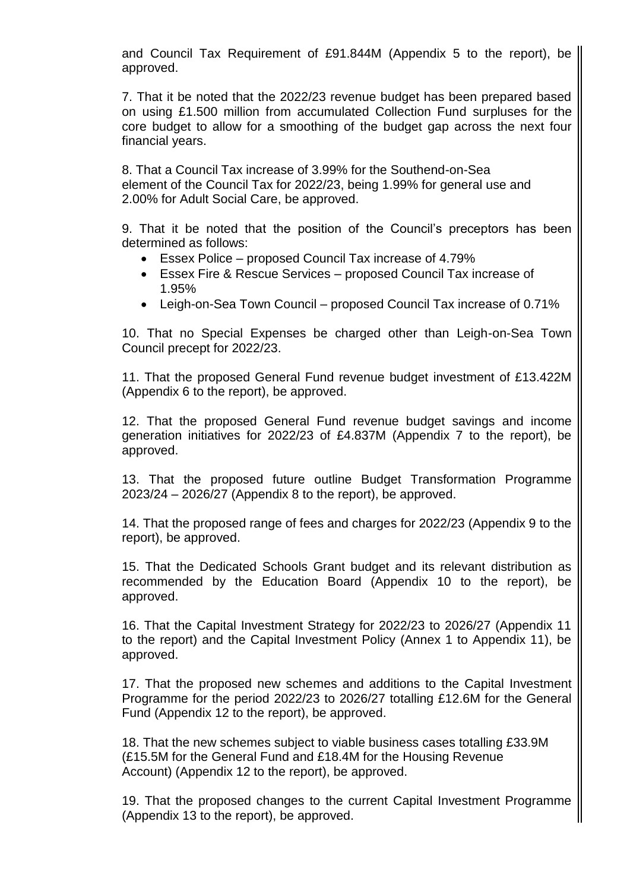and Council Tax Requirement of £91.844M (Appendix 5 to the report), be approved.

7. That it be noted that the 2022/23 revenue budget has been prepared based on using £1.500 million from accumulated Collection Fund surpluses for the core budget to allow for a smoothing of the budget gap across the next four financial years.

8. That a Council Tax increase of 3.99% for the Southend-on-Sea element of the Council Tax for 2022/23, being 1.99% for general use and 2.00% for Adult Social Care, be approved.

9. That it be noted that the position of the Council's preceptors has been determined as follows:

- Essex Police proposed Council Tax increase of 4.79%
- Essex Fire & Rescue Services proposed Council Tax increase of 1.95%
- Leigh-on-Sea Town Council proposed Council Tax increase of 0.71%

10. That no Special Expenses be charged other than Leigh-on-Sea Town Council precept for 2022/23.

11. That the proposed General Fund revenue budget investment of £13.422M (Appendix 6 to the report), be approved.

12. That the proposed General Fund revenue budget savings and income generation initiatives for 2022/23 of £4.837M (Appendix 7 to the report), be approved.

13. That the proposed future outline Budget Transformation Programme 2023/24 – 2026/27 (Appendix 8 to the report), be approved.

14. That the proposed range of fees and charges for 2022/23 (Appendix 9 to the report), be approved.

15. That the Dedicated Schools Grant budget and its relevant distribution as recommended by the Education Board (Appendix 10 to the report), be approved.

16. That the Capital Investment Strategy for 2022/23 to 2026/27 (Appendix 11 to the report) and the Capital Investment Policy (Annex 1 to Appendix 11), be approved.

17. That the proposed new schemes and additions to the Capital Investment Programme for the period 2022/23 to 2026/27 totalling £12.6M for the General Fund (Appendix 12 to the report), be approved.

18. That the new schemes subject to viable business cases totalling £33.9M (£15.5M for the General Fund and £18.4M for the Housing Revenue Account) (Appendix 12 to the report), be approved.

19. That the proposed changes to the current Capital Investment Programme (Appendix 13 to the report), be approved.